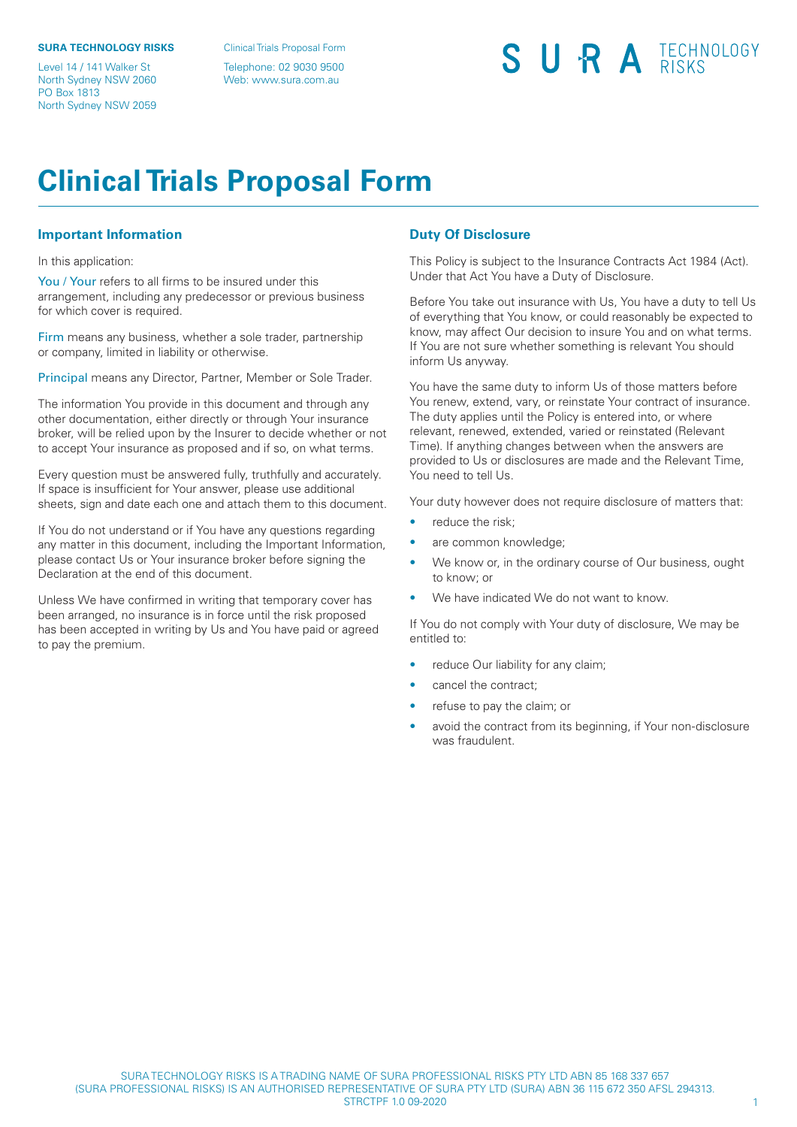#### **SURA TECHNOLOGY RISKS**

Level 14 / 141 Walker St North Sydney NSW 2060 PO Box 1813 North Sydney NSW 2059

Clinical Trials Proposal Form

Telephone: 02 9030 9500 Web: www.sura.com.au

# SURA TECHNOLOGY

# **Clinical Trials Proposal Form**

### **Important Information**

In this application:

You / Your refers to all firms to be insured under this arrangement, including any predecessor or previous business for which cover is required.

Firm means any business, whether a sole trader, partnership or company, limited in liability or otherwise.

Principal means any Director, Partner, Member or Sole Trader.

The information You provide in this document and through any other documentation, either directly or through Your insurance broker, will be relied upon by the Insurer to decide whether or not to accept Your insurance as proposed and if so, on what terms.

Every question must be answered fully, truthfully and accurately. If space is insufficient for Your answer, please use additional sheets, sign and date each one and attach them to this document.

If You do not understand or if You have any questions regarding any matter in this document, including the Important Information, please contact Us or Your insurance broker before signing the Declaration at the end of this document.

Unless We have confirmed in writing that temporary cover has been arranged, no insurance is in force until the risk proposed has been accepted in writing by Us and You have paid or agreed to pay the premium.

### **Duty Of Disclosure**

This Policy is subject to the Insurance Contracts Act 1984 (Act). Under that Act You have a Duty of Disclosure.

Before You take out insurance with Us, You have a duty to tell Us of everything that You know, or could reasonably be expected to know, may affect Our decision to insure You and on what terms. If You are not sure whether something is relevant You should inform Us anyway.

You have the same duty to inform Us of those matters before You renew, extend, vary, or reinstate Your contract of insurance. The duty applies until the Policy is entered into, or where relevant, renewed, extended, varied or reinstated (Relevant Time). If anything changes between when the answers are provided to Us or disclosures are made and the Relevant Time, You need to tell Us.

Your duty however does not require disclosure of matters that:

- reduce the risk:
- are common knowledge;
- We know or, in the ordinary course of Our business, ought to know; or
- We have indicated We do not want to know.

If You do not comply with Your duty of disclosure, We may be entitled to:

- reduce Our liability for any claim;
- cancel the contract;
- refuse to pay the claim; or
- avoid the contract from its beginning, if Your non-disclosure was fraudulent.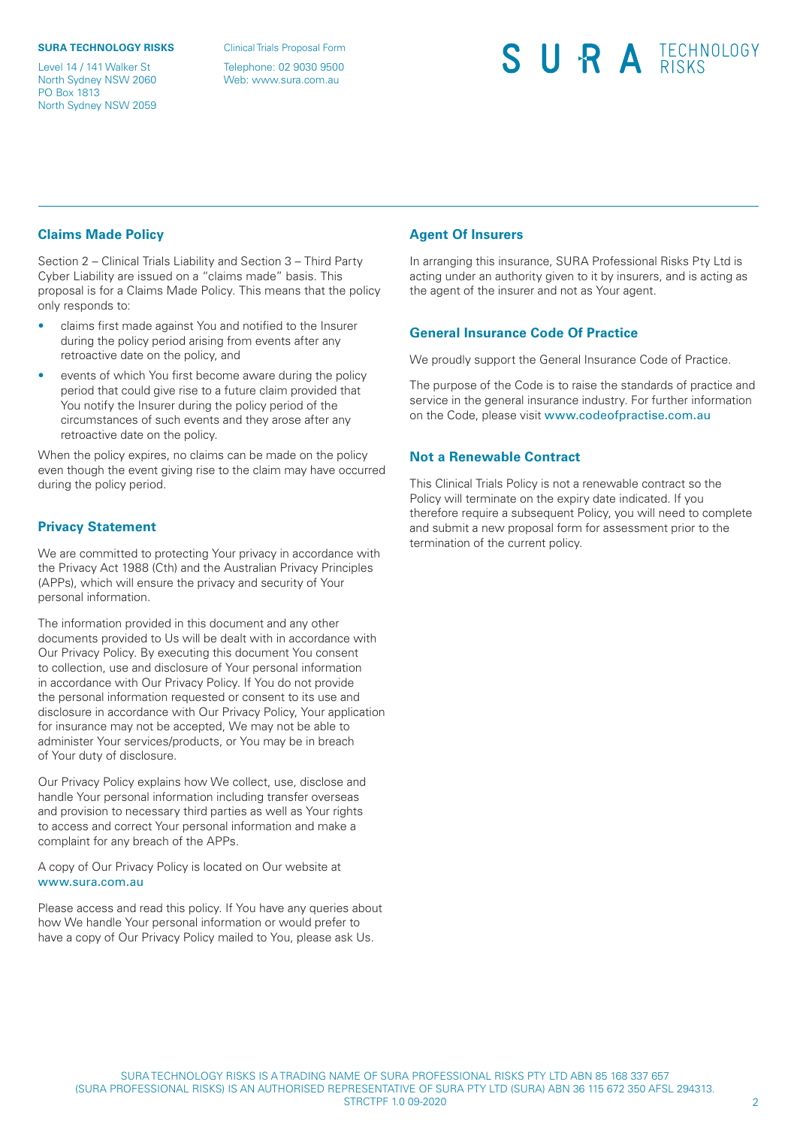#### **SURA TECHNOLOGY RISKS**

Level 14 / 141 Walker St North Sydney NSW 2060 PO Box 1813 North Sydney NSW 2059

Clinical Trials Proposal Form

Telephone: 02 9030 9500 Web: www.sura.com.au

# SURA TECHNOLOGY

## **Claims Made Policy**

Section 2 – Clinical Trials Liability and Section 3 – Third Party Cyber Liability are issued on a "claims made" basis. This proposal is for a Claims Made Policy. This means that the policy only responds to:

- claims first made against You and notified to the Insurer during the policy period arising from events after any retroactive date on the policy, and
- events of which You first become aware during the policy period that could give rise to a future claim provided that You notify the Insurer during the policy period of the circumstances of such events and they arose after any retroactive date on the policy.

When the policy expires, no claims can be made on the policy even though the event giving rise to the claim may have occurred during the policy period.

## **Privacy Statement**

We are committed to protecting Your privacy in accordance with the Privacy Act 1988 (Cth) and the Australian Privacy Principles (APPs), which will ensure the privacy and security of Your personal information.

The information provided in this document and any other documents provided to Us will be dealt with in accordance with Our Privacy Policy. By executing this document You consent to collection, use and disclosure of Your personal information in accordance with Our Privacy Policy. If You do not provide the personal information requested or consent to its use and disclosure in accordance with Our Privacy Policy, Your application for insurance may not be accepted, We may not be able to administer Your services/products, or You may be in breach of Your duty of disclosure.

Our Privacy Policy explains how We collect, use, disclose and handle Your personal information including transfer overseas and provision to necessary third parties as well as Your rights to access and correct Your personal information and make a complaint for any breach of the APPs.

A copy of Our Privacy Policy is located on Our website at <www.sura.com.au>

Please access and read this policy. If You have any queries about how We handle Your personal information or would prefer to have a copy of Our Privacy Policy mailed to You, please ask Us.

## **Agent Of Insurers**

In arranging this insurance, SURA Professional Risks Pty Ltd is acting under an authority given to it by insurers, and is acting as the agent of the insurer and not as Your agent.

### **General Insurance Code Of Practice**

We proudly support the General Insurance Code of Practice.

The purpose of the Code is to raise the standards of practice and service in the general insurance industry. For further information on the Code, please visit <www.codeofpractise.com.au>

#### **Not a Renewable Contract**

This Clinical Trials Policy is not a renewable contract so the Policy will terminate on the expiry date indicated. If you therefore require a subsequent Policy, you will need to complete and submit a new proposal form for assessment prior to the termination of the current policy.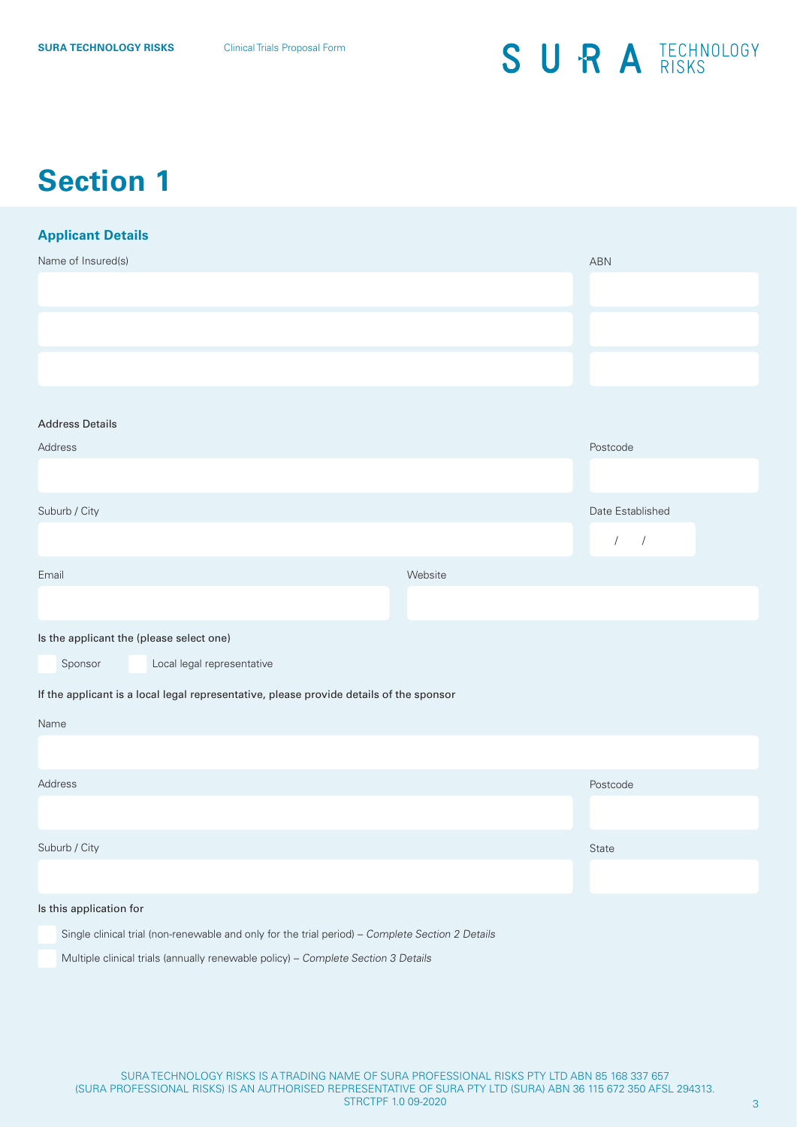## **Section 1**

| <b>Applicant Details</b>                                                                         |         |                          |
|--------------------------------------------------------------------------------------------------|---------|--------------------------|
| Name of Insured(s)                                                                               |         | ABN                      |
|                                                                                                  |         |                          |
|                                                                                                  |         |                          |
|                                                                                                  |         |                          |
| <b>Address Details</b>                                                                           |         |                          |
| Address                                                                                          |         | Postcode                 |
|                                                                                                  |         |                          |
| Suburb / City                                                                                    |         | Date Established         |
|                                                                                                  |         | $\sqrt{2}$<br>$\sqrt{2}$ |
| Email                                                                                            | Website |                          |
|                                                                                                  |         |                          |
| Is the applicant the (please select one)                                                         |         |                          |
| Local legal representative<br>Sponsor                                                            |         |                          |
| If the applicant is a local legal representative, please provide details of the sponsor          |         |                          |
| Name                                                                                             |         |                          |
|                                                                                                  |         |                          |
| Address                                                                                          |         | Postcode                 |
|                                                                                                  |         |                          |
| Suburb / City                                                                                    |         | State                    |
|                                                                                                  |         |                          |
| Is this application for                                                                          |         |                          |
| Single clinical trial (non-renewable and only for the trial period) - Complete Section 2 Details |         |                          |

Multiple clinical trials (annually renewable policy) – Complete Section 3 Details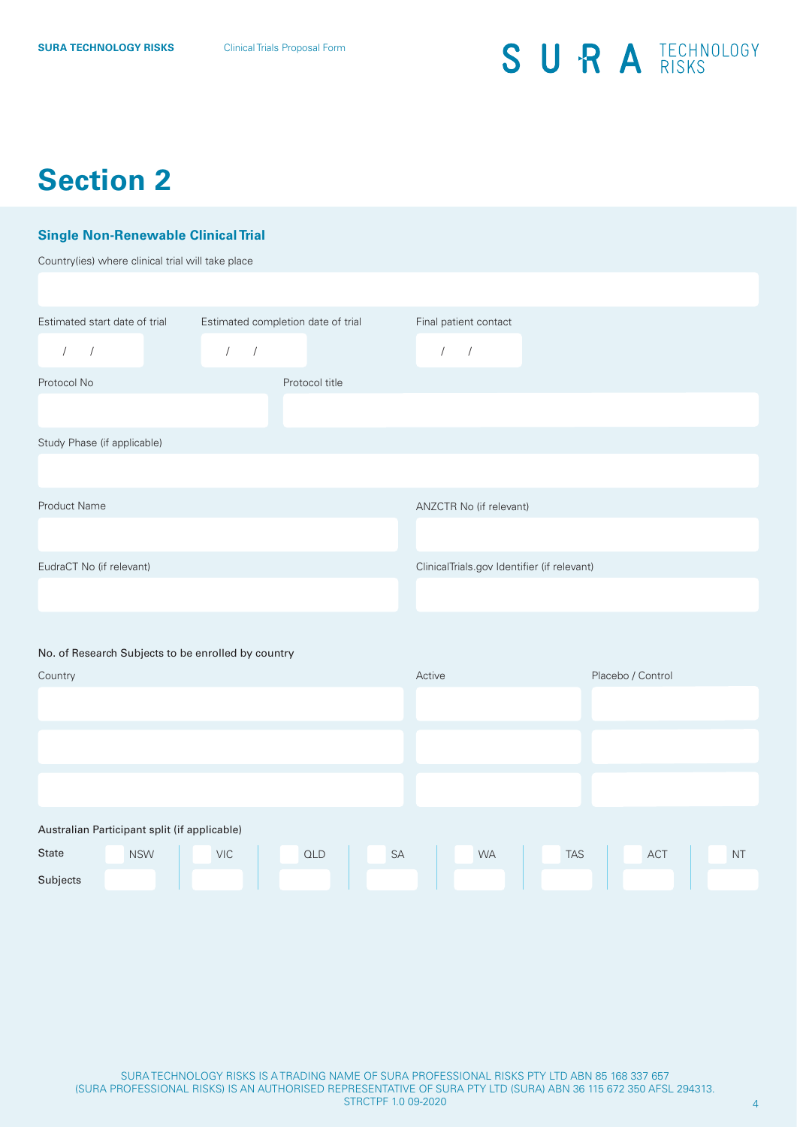# **Section 2**

## **Single Non-Renewable Clinical Trial**

Country(ies) where clinical trial will take place

| Estimated start date of trial<br>Estimated completion date of trial |            |            |            |                |  |    | Final patient contact |                                             |  |            |                   |  |           |  |
|---------------------------------------------------------------------|------------|------------|------------|----------------|--|----|-----------------------|---------------------------------------------|--|------------|-------------------|--|-----------|--|
| $\sqrt{2}$<br>$\sqrt{ }$                                            |            | $\prime$   | $\sqrt{ }$ |                |  |    | $\sqrt{2}$            | $\sqrt{ }$                                  |  |            |                   |  |           |  |
| Protocol No                                                         |            |            |            | Protocol title |  |    |                       |                                             |  |            |                   |  |           |  |
|                                                                     |            |            |            |                |  |    |                       |                                             |  |            |                   |  |           |  |
| Study Phase (if applicable)                                         |            |            |            |                |  |    |                       |                                             |  |            |                   |  |           |  |
|                                                                     |            |            |            |                |  |    |                       |                                             |  |            |                   |  |           |  |
| Product Name                                                        |            |            |            |                |  |    |                       | ANZCTR No (if relevant)                     |  |            |                   |  |           |  |
|                                                                     |            |            |            |                |  |    |                       |                                             |  |            |                   |  |           |  |
| EudraCT No (if relevant)                                            |            |            |            |                |  |    |                       | ClinicalTrials.gov Identifier (if relevant) |  |            |                   |  |           |  |
|                                                                     |            |            |            |                |  |    |                       |                                             |  |            |                   |  |           |  |
|                                                                     |            |            |            |                |  |    |                       |                                             |  |            |                   |  |           |  |
| No. of Research Subjects to be enrolled by country                  |            |            |            |                |  |    |                       |                                             |  |            |                   |  |           |  |
| Country                                                             |            |            |            |                |  |    | Active                |                                             |  |            | Placebo / Control |  |           |  |
|                                                                     |            |            |            |                |  |    |                       |                                             |  |            |                   |  |           |  |
|                                                                     |            |            |            |                |  |    |                       |                                             |  |            |                   |  |           |  |
|                                                                     |            |            |            |                |  |    |                       |                                             |  |            |                   |  |           |  |
|                                                                     |            |            |            |                |  |    |                       |                                             |  |            |                   |  |           |  |
| Australian Participant split (if applicable)                        |            |            |            |                |  |    |                       |                                             |  |            |                   |  |           |  |
| State                                                               | <b>NSW</b> | <b>VIC</b> |            | <b>QLD</b>     |  | SA |                       | <b>WA</b>                                   |  | <b>TAS</b> | ACT               |  | <b>NT</b> |  |
| Subjects                                                            |            |            |            |                |  |    |                       |                                             |  |            |                   |  |           |  |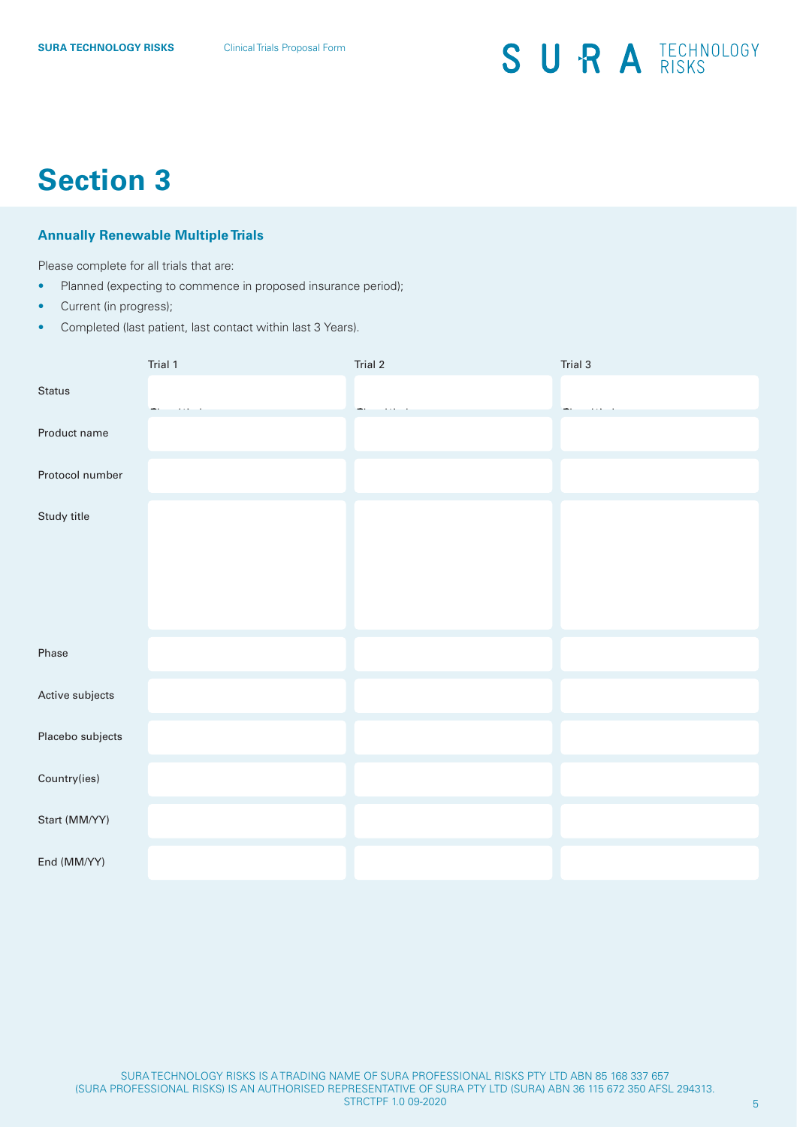## **Section 3**

## **Annually Renewable Multiple Trials**

Please complete for all trials that are:

- Planned (expecting to commence in proposed insurance period);
- Current (in progress);
- Completed (last patient, last contact within last 3 Years).

|                  | Trial 1 | Trial 2 | Trial 3 |
|------------------|---------|---------|---------|
| Status           |         |         |         |
| Product name     |         |         |         |
| Protocol number  |         |         |         |
| Study title      |         |         |         |
| Phase            |         |         |         |
| Active subjects  |         |         |         |
| Placebo subjects |         |         |         |
| Country(ies)     |         |         |         |
| Start (MM/YY)    |         |         |         |
| End (MM/YY)      |         |         |         |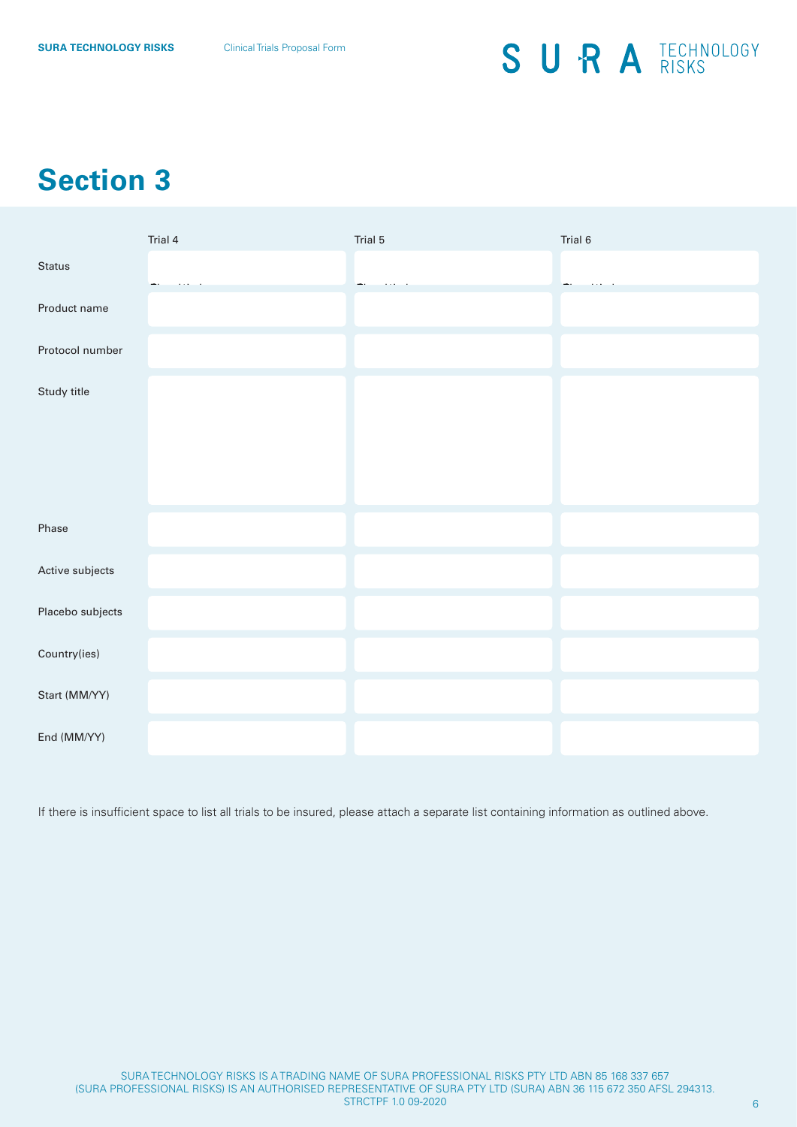# **Section 3**

|                  | Trial 4 | Trial 5 | Trial 6 |
|------------------|---------|---------|---------|
| Status           |         |         |         |
| Product name     |         |         |         |
| Protocol number  |         |         |         |
| Study title      |         |         |         |
| Phase            |         |         |         |
| Active subjects  |         |         |         |
| Placebo subjects |         |         |         |
| Country(ies)     |         |         |         |
| Start (MM/YY)    |         |         |         |
| End (MM/YY)      |         |         |         |

If there is insufficient space to list all trials to be insured, please attach a separate list containing information as outlined above.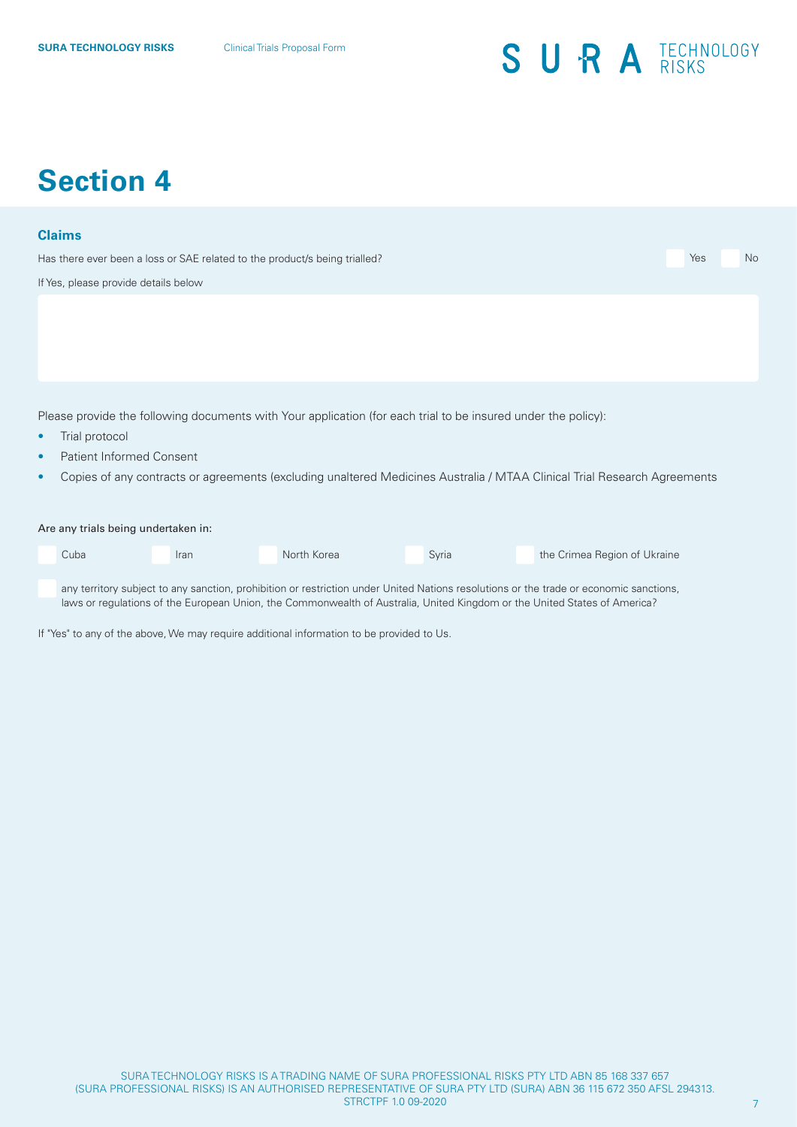## **Section 4**

#### **Claims**

Has there ever been a loss or SAE related to the product/s being trialled? The very neglected to the product of the product of the product of the very neglected to the product of the product of the very neglected to the pr

If Yes, please provide details below

Please provide the following documents with Your application (for each trial to be insured under the policy):

- Trial protocol
- Patient Informed Consent
- Copies of any contracts or agreements (excluding unaltered Medicines Australia / MTAA Clinical Trial Research Agreements

#### Are any trials being undertaken in:

| Cuba | <b>Iran</b> | North Korea | Svria | the Crimea Region of Ukraine |
|------|-------------|-------------|-------|------------------------------|
|      |             |             |       |                              |

any territory subject to any sanction, prohibition or restriction under United Nations resolutions or the trade or economic sanctions, laws or regulations of the European Union, the Commonwealth of Australia, United Kingdom or the United States of America?

If "Yes" to any of the above, We may require additional information to be provided to Us.